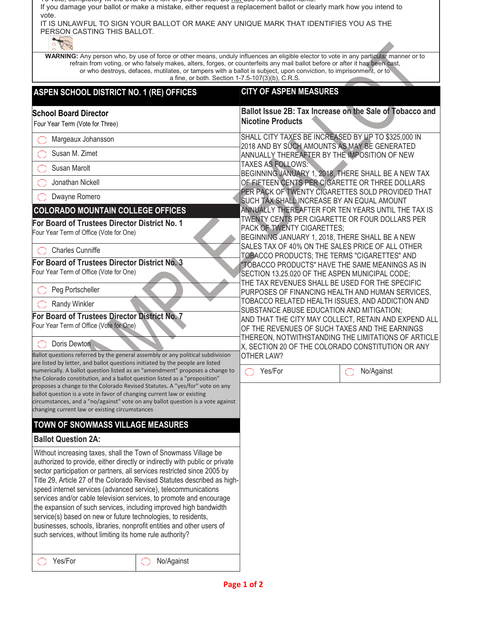To vote, completely fill the oval to the left of your choice. Do not use Xs or checkmarks. If you damage your ballot or make a mistake, either request a replacement ballot or clearly mark how you intend to vote. IT IS UNLAWFUL TO SIGN YOUR BALLOT OR MAKE ANY UNIQUE MARK THAT IDENTIFIES YOU AS THE PERSON CASTING THIS BALLOT. **WARNING:** Any person who, by use of force or other means, unduly influences an eligible elector to vote in any particular manner or to refrain from voting, or who falsely makes, alters, forges, or counterfeits any mail ballot before or after it has been cast, or who destroys, defaces, mutilates, or tampers with a ballot is subject, upon conviction, to imprisonment, or to a fine, or both. Section 1-7.5-107(3)(b), C.R.S. **ASPEN SCHOOL DISTRICT NO. 1 (RE) OFFICES CITY OF ASPEN MEASURES School Board Director** Four Year Term (Vote for Three) **Ballot Issue 2B: Tax Increase on the Sale of Tobacco and Nicotine Products** Margeaux Johansson SHALL CITY TAXES BE INCREASED BY UP TO \$325,000 IN 2018 AND BY SUCH AMOUNTS AS MAY BE GENERATED ANNUALLY THEREAFTER BY THE IMPOSITION OF NEW Susan M. Zimet

TAXES AS FOLLOWS:

OTHER LAW?

PACK OF TWENTY CIGARETTES;

BEGINNING JANUARY 1, 2018, THERE SHALL BE A NEW TAX OF FIFTEEN CENTS PER CIGARETTE OR THREE DOLLARS PER PACK OF TWENTY CIGARETTES SOLD PROVIDED THAT SUCH TAX SHALL INCREASE BY AN EQUAL AMOUNT

ANNUALLY THEREAFTER FOR TEN YEARS UNTIL THE TAX IS TWENTY CENTS PER CIGARETTE OR FOUR DOLLARS PER

BEGINNING JANUARY 1, 2018, THERE SHALL BE A NEW SALES TAX OF 40% ON THE SALES PRICE OF ALL OTHER TOBACCO PRODUCTS; THE TERMS "CIGARETTES" AND "TOBACCO PRODUCTS" HAVE THE SAME MEANINGS AS IN SECTION 13.25.020 OF THE ASPEN MUNICIPAL CODE; THE TAX REVENUES SHALL BE USED FOR THE SPECIFIC PURPOSES OF FINANCING HEALTH AND HUMAN SERVICES, TOBACCO RELATED HEALTH ISSUES, AND ADDICTION AND

SUBSTANCE ABUSE EDUCATION AND MITIGATION;

AND THAT THE CITY MAY COLLECT, RETAIN AND EXPEND ALL OF THE REVENUES OF SUCH TAXES AND THE EARNINGS THEREON, NOTWITHSTANDING THE LIMITATIONS OF ARTICLE X, SECTION 20 OF THE COLORADO CONSTITUTION OR ANY

Yes/For **No/Against** 

 Susan Marolt Jonathan Nickell O Dwayne Romero

Four Year Term of Office (Vote for One)

Four Year Term of Office (Vote for One)

Four Year Term of Office (Vote for One)

changing current law or existing circumstances

**TOWN OF SNOWMASS VILLAGE MEASURES**

such services, without limiting its home rule authority?

Charles Cunniffe

 Peg Portscheller Randy Winkler

Doris Dewton

**Ballot Question 2A:**

**COLORADO MOUNTAIN COLLEGE OFFICES For Board of Trustees Director District No. 1**

**For Board of Trustees Director District No. 3**

**For Board of Trustees Director District No. 7**

Ballot questions referred by the general assembly or any political subdivision are listed by letter, and ballot questions initiated by the people are listed numerically. A ballot question listed as an "amendment" proposes a change to the Colorado constitution, and a ballot question listed as a "proposition" proposes a change to the Colorado Revised Statutes. A "yes/for" vote on any ballot question is a vote in favor of changing current law or existing

circumstances, and a "no/against" vote on any ballot question is a vote against

Without increasing taxes, shall the Town of Snowmass Village be authorized to provide, either directly or indirectly with public or private sector participation or partners, all services restricted since 2005 by Title 29, Article 27 of the Colorado Revised Statutes described as highspeed internet services (advanced service), telecommunications services and/or cable television services, to promote and encourage the expansion of such services, including improved high bandwidth service(s) based on new or future technologies, to residents, businesses, schools, libraries, nonprofit entities and other users of

Yes/For No/Against